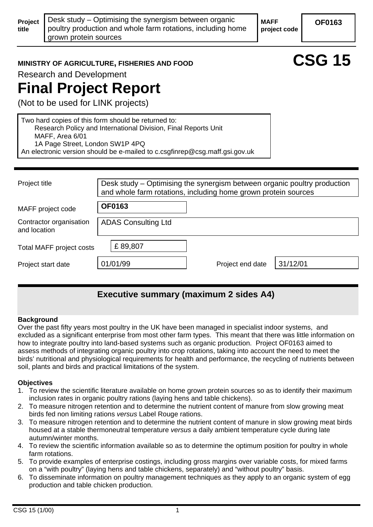**MAFF project code** 

# **OF0163**

**MINISTRY OF AGRICULTURE, FISHERIES AND FOOD CSG 15** 

Research and Development

# **Final Project Report**

(Not to be used for LINK projects)

Two hard copies of this form should be returned to: Research Policy and International Division, Final Reports Unit MAFF, Area 6/01 1A Page Street, London SW1P 4PQ An electronic version should be e-mailed to c.csgfinrep@csg.maff.gsi.gov.uk

| Project title                           | Desk study – Optimising the synergism between organic poultry production<br>and whole farm rotations, including home grown protein sources |                  |          |
|-----------------------------------------|--------------------------------------------------------------------------------------------------------------------------------------------|------------------|----------|
| MAFF project code                       | <b>OF0163</b>                                                                                                                              |                  |          |
| Contractor organisation<br>and location | <b>ADAS Consulting Ltd</b>                                                                                                                 |                  |          |
| Total MAFF project costs                | £89,807                                                                                                                                    |                  |          |
| Project start date                      | 01/01/99                                                                                                                                   | Project end date | 31/12/01 |
|                                         |                                                                                                                                            |                  |          |

# **Executive summary (maximum 2 sides A4)**

#### **Background**

Over the past fifty years most poultry in the UK have been managed in specialist indoor systems, and excluded as a significant enterprise from most other farm types. This meant that there was little information on how to integrate poultry into land-based systems such as organic production. Project OF0163 aimed to assess methods of integrating organic poultry into crop rotations, taking into account the need to meet the birds' nutritional and physiological requirements for health and performance, the recycling of nutrients between soil, plants and birds and practical limitations of the system.

#### **Objectives**

- 1. To review the scientific literature available on home grown protein sources so as to identify their maximum inclusion rates in organic poultry rations (laying hens and table chickens).
- 2. To measure nitrogen retention and to determine the nutrient content of manure from slow growing meat birds fed non limiting rations *versus* Label Rouge rations.
- 3. To measure nitrogen retention and to determine the nutrient content of manure in slow growing meat birds housed at a stable thermoneutral temperature *versus* a daily ambient temperature cycle during late autumn/winter months.
- 4. To review the scientific information available so as to determine the optimum position for poultry in whole farm rotations.
- 5. To provide examples of enterprise costings, including gross margins over variable costs, for mixed farms on a "with poultry" (laying hens and table chickens, separately) and "without poultry" basis.
- 6. To disseminate information on poultry management techniques as they apply to an organic system of egg production and table chicken production.

**Project title**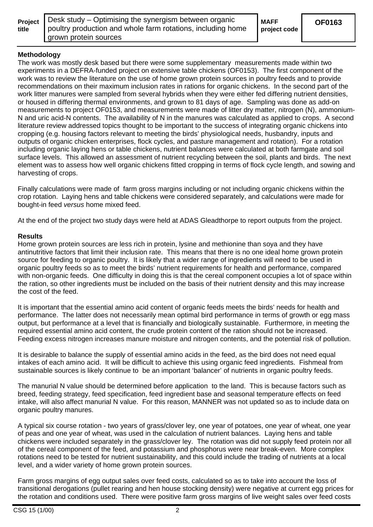| Project |
|---------|
| title   |

# **Methodology**

The work was mostly desk based but there were some supplementary measurements made within two experiments in a DEFRA-funded project on extensive table chickens (OF0153). The first component of the work was to review the literature on the use of home grown protein sources in poultry feeds and to provide recommendations on their maximum inclusion rates in rations for organic chickens. In the second part of the work litter manures were sampled from several hybrids when they were either fed differing nutrient densities, or housed in differing thermal environments, and grown to 81 days of age. Sampling was done as add-on measurements to project OF0153, and measurements were made of litter dry matter, nitrogen (N), ammonium-N and uric acid-N contents. The availability of N in the manures was calculated as applied to crops. A second literature review addressed topics thought to be important to the success of integrating organic chickens into cropping (e.g. housing factors relevant to meeting the birds' physiological needs, husbandry, inputs and outputs of organic chicken enterprises, flock cycles, and pasture management and rotation). For a rotation including organic laying hens or table chickens, nutrient balances were calculated at both farmgate and soil surface levels. This allowed an assessment of nutrient recycling between the soil, plants and birds. The next element was to assess how well organic chickens fitted cropping in terms of flock cycle length, and sowing and harvesting of crops.

Finally calculations were made of farm gross margins including or not including organic chickens within the crop rotation. Laying hens and table chickens were considered separately, and calculations were made for bought-in feed *versus* home mixed feed.

At the end of the project two study days were held at ADAS Gleadthorpe to report outputs from the project.

#### **Results**

Home grown protein sources are less rich in protein, lysine and methionine than soya and they have antinutritive factors that limit their inclusion rate. This means that there is no one ideal home grown protein source for feeding to organic poultry. It is likely that a wider range of ingredients will need to be used in organic poultry feeds so as to meet the birds' nutrient requirements for health and performance, compared with non-organic feeds. One difficulty in doing this is that the cereal component occupies a lot of space within the ration, so other ingredients must be included on the basis of their nutrient density and this may increase the cost of the feed.

It is important that the essential amino acid content of organic feeds meets the birds' needs for health and performance. The latter does not necessarily mean optimal bird performance in terms of growth or egg mass output, but performance at a level that is financially and biologically sustainable. Furthermore, in meeting the required essential amino acid content, the crude protein content of the ration should not be increased. Feeding excess nitrogen increases manure moisture and nitrogen contents, and the potential risk of pollution.

It is desirable to balance the supply of essential amino acids in the feed, as the bird does not need equal intakes of each amino acid. It will be difficult to achieve this using organic feed ingredients. Fishmeal from sustainable sources is likely continue to be an important 'balancer' of nutrients in organic poultry feeds.

The manurial N value should be determined before application to the land. This is because factors such as breed, feeding strategy, feed specification, feed ingredient base and seasonal temperature effects on feed intake, will also affect manurial N value. For this reason, MANNER was not updated so as to include data on organic poultry manures.

A typical six course rotation - two years of grass/clover ley, one year of potatoes, one year of wheat, one year of peas and one year of wheat, was used in the calculation of nutrient balances. Laying hens and table chickens were included separately in the grass/clover ley. The rotation was did not supply feed protein nor all of the cereal component of the feed, and potassium and phosphorus were near break-even. More complex rotations need to be tested for nutrient sustainability, and this could include the trading of nutrients at a local level, and a wider variety of home grown protein sources.

Farm gross margins of egg output sales over feed costs, calculated so as to take into account the loss of transitional derogations (pullet rearing and hen house stocking density) were negative at current egg prices for the rotation and conditions used. There were positive farm gross margins of live weight sales over feed costs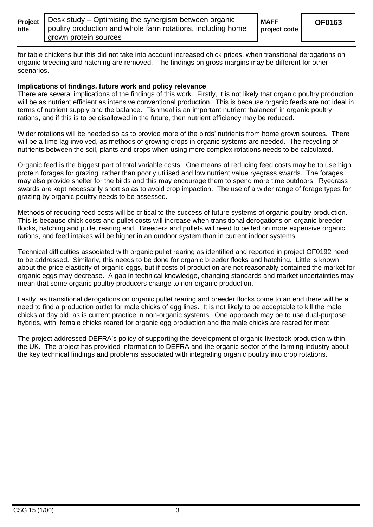| Project |  |
|---------|--|
| title   |  |

**project code** 

for table chickens but this did not take into account increased chick prices, when transitional derogations on organic breeding and hatching are removed. The findings on gross margins may be different for other scenarios.

#### **Implications of findings, future work and policy relevance**

There are several implications of the findings of this work. Firstly, it is not likely that organic poultry production will be as nutrient efficient as intensive conventional production. This is because organic feeds are not ideal in terms of nutrient supply and the balance. Fishmeal is an important nutrient 'balancer' in organic poultry rations, and if this is to be disallowed in the future, then nutrient efficiency may be reduced.

Wider rotations will be needed so as to provide more of the birds' nutrients from home grown sources. There will be a time lag involved, as methods of growing crops in organic systems are needed. The recycling of nutrients between the soil, plants and crops when using more complex rotations needs to be calculated.

Organic feed is the biggest part of total variable costs. One means of reducing feed costs may be to use high protein forages for grazing, rather than poorly utilised and low nutrient value ryegrass swards. The forages may also provide shelter for the birds and this may encourage them to spend more time outdoors. Ryegrass swards are kept necessarily short so as to avoid crop impaction. The use of a wider range of forage types for grazing by organic poultry needs to be assessed.

Methods of reducing feed costs will be critical to the success of future systems of organic poultry production. This is because chick costs and pullet costs will increase when transitional derogations on organic breeder flocks, hatching and pullet rearing end. Breeders and pullets will need to be fed on more expensive organic rations, and feed intakes will be higher in an outdoor system than in current indoor systems.

Technical difficulties associated with organic pullet rearing as identified and reported in project OF0192 need to be addressed. Similarly, this needs to be done for organic breeder flocks and hatching. Little is known about the price elasticity of organic eggs, but if costs of production are not reasonably contained the market for organic eggs may decrease. A gap in technical knowledge, changing standards and market uncertainties may mean that some organic poultry producers change to non-organic production.

Lastly, as transitional derogations on organic pullet rearing and breeder flocks come to an end there will be a need to find a production outlet for male chicks of egg lines. It is not likely to be acceptable to kill the male chicks at day old, as is current practice in non-organic systems. One approach may be to use dual-purpose hybrids, with female chicks reared for organic egg production and the male chicks are reared for meat.

The project addressed DEFRA's policy of supporting the development of organic livestock production within the UK. The project has provided information to DEFRA and the organic sector of the farming industry about the key technical findings and problems associated with integrating organic poultry into crop rotations.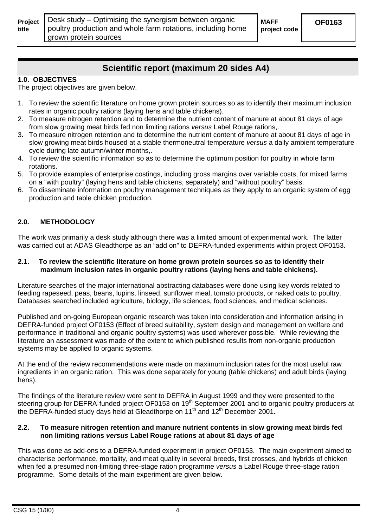**Project title** 

# **Scientific report (maximum 20 sides A4)**

#### **1.0. OBJECTIVES**

The project objectives are given below.

- 1. To review the scientific literature on home grown protein sources so as to identify their maximum inclusion rates in organic poultry rations (laying hens and table chickens).
- 2. To measure nitrogen retention and to determine the nutrient content of manure at about 81 days of age from slow growing meat birds fed non limiting rations *versus* Label Rouge rations,.
- 3. To measure nitrogen retention and to determine the nutrient content of manure at about 81 days of age in slow growing meat birds housed at a stable thermoneutral temperature *versus* a daily ambient temperature cycle during late autumn/winter months,.
- 4. To review the scientific information so as to determine the optimum position for poultry in whole farm rotations.
- 5. To provide examples of enterprise costings, including gross margins over variable costs, for mixed farms on a "with poultry" (laying hens and table chickens, separately) and "without poultry" basis.
- 6. To disseminate information on poultry management techniques as they apply to an organic system of egg production and table chicken production.

## **2.0. METHODOLOGY**

The work was primarily a desk study although there was a limited amount of experimental work. The latter was carried out at ADAS Gleadthorpe as an "add on" to DEFRA-funded experiments within project OF0153.

#### **2.1. To review the scientific literature on home grown protein sources so as to identify their maximum inclusion rates in organic poultry rations (laying hens and table chickens).**

Literature searches of the major international abstracting databases were done using key words related to feeding rapeseed, peas, beans, lupins, linseed, sunflower meal, tomato products, or naked oats to poultry. Databases searched included agriculture, biology, life sciences, food sciences, and medical sciences.

Published and on-going European organic research was taken into consideration and information arising in DEFRA-funded project OF0153 (Effect of breed suitability, system design and management on welfare and performance in traditional and organic poultry systems) was used wherever possible. While reviewing the literature an assessment was made of the extent to which published results from non-organic production systems may be applied to organic systems.

At the end of the review recommendations were made on maximum inclusion rates for the most useful raw ingredients in an organic ration. This was done separately for young (table chickens) and adult birds (laying hens).

The findings of the literature review were sent to DEFRA in August 1999 and they were presented to the steering group for DEFRA-funded project OF0153 on 19<sup>th</sup> September 2001 and to organic poultry producers at the DEFRA-funded study days held at Gleadthorpe on 11<sup>th</sup> and 12<sup>th</sup> December 2001.

#### **2.2. To measure nitrogen retention and manure nutrient contents in slow growing meat birds fed non limiting rations** *versus* **Label Rouge rations at about 81 days of age**

This was done as add-ons to a DEFRA-funded experiment in project OF0153. The main experiment aimed to characterise performance, mortality, and meat quality in several breeds, first crosses, and hybrids of chicken when fed a presumed non-limiting three-stage ration programme *versus* a Label Rouge three-stage ration programme. Some details of the main experiment are given below.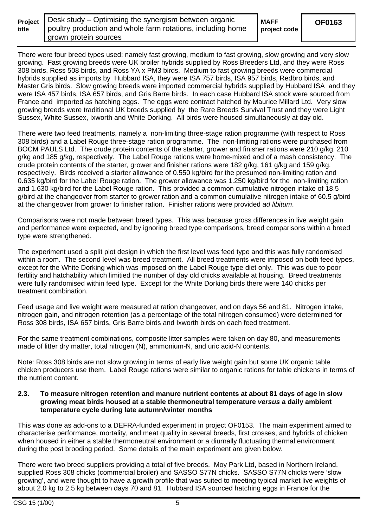| Projec |  |
|--------|--|
| title  |  |

**OF0163** 

**MAFF** 

There were four breed types used: namely fast growing, medium to fast growing, slow growing and very slow growing. Fast growing breeds were UK broiler hybrids supplied by Ross Breeders Ltd, and they were Ross 308 birds, Ross 508 birds, and Ross YA x PM3 birds. Medium to fast growing breeds were commercial hybrids supplied as imports by Hubbard ISA, they were ISA 757 birds, ISA 957 birds, Redbro birds, and Master Gris birds. Slow growing breeds were imported commercial hybrids supplied by Hubbard ISA and they were ISA 457 birds, ISA 657 birds, and Gris Barre birds. In each case Hubbard ISA stock were sourced from France and imported as hatching eggs. The eggs were contract hatched by Maurice Millard Ltd. Very slow growing breeds were traditional UK breeds supplied by the Rare Breeds Survival Trust and they were Light Sussex, White Sussex, Ixworth and White Dorking. All birds were housed simultaneously at day old.

There were two feed treatments, namely a non-limiting three-stage ration programme (with respect to Ross 308 birds) and a Label Rouge three-stage ration programme. The non-limiting rations were purchased from BOCM PAULS Ltd. The crude protein contents of the starter, grower and finisher rations were 210 g/kg, 210 g/kg and 185 g/kg, respectively. The Label Rouge rations were home-mixed and of a mash consistency. The crude protein contents of the starter, grower and finisher rations were 182 g/kg, 161 g/kg and 159 g/kg, respectively. Birds received a starter allowance of 0.550 kg/bird for the presumed non-limiting ration and 0.635 kg/bird for the Label Rouge ration. The grower allowance was 1.250 kg/bird for the non-limiting ration and 1.630 kg/bird for the Label Rouge ration. This provided a common cumulative nitrogen intake of 18.5 g/bird at the changeover from starter to grower ration and a common cumulative nitrogen intake of 60.5 g/bird at the changeover from grower to finisher ration. Finisher rations were provided *ad libitum*.

Comparisons were not made between breed types. This was because gross differences in live weight gain and performance were expected, and by ignoring breed type comparisons, breed comparisons within a breed type were strengthened.

The experiment used a split plot design in which the first level was feed type and this was fully randomised within a room. The second level was breed treatment. All breed treatments were imposed on both feed types, except for the White Dorking which was imposed on the Label Rouge type diet only. This was due to poor fertility and hatchability which limitied the number of day old chicks available at housing. Breed treatments were fully randomised within feed type. Except for the White Dorking birds there were 140 chicks per treatment combination.

Feed usage and live weight were measured at ration changeover, and on days 56 and 81. Nitrogen intake, nitrogen gain, and nitrogen retention (as a percentage of the total nitrogen consumed) were determined for Ross 308 birds, ISA 657 birds, Gris Barre birds and Ixworth birds on each feed treatment.

For the same treatment combinations, composite litter samples were taken on day 80, and measurements made of litter dry matter, total nitrogen (N), ammonium-N, and uric acid-N contents.

Note: Ross 308 birds are not slow growing in terms of early live weight gain but some UK organic table chicken producers use them. Label Rouge rations were similar to organic rations for table chickens in terms of the nutrient content.

#### **2.3. To measure nitrogen retention and manure nutrient contents at about 81 days of age in slow growing meat birds housed at a stable thermoneutral temperature** *versus* **a daily ambient temperature cycle during late autumn/winter months**

This was done as add-ons to a DEFRA-funded experiment in project OF0153. The main experiment aimed to characterise performance, mortality, and meat quality in several breeds, first crosses, and hybrids of chicken when housed in either a stable thermoneutral environment or a diurnally fluctuating thermal environment during the post brooding period. Some details of the main experiment are given below.

There were two breed suppliers providing a total of five breeds. Moy Park Ltd, based in Northern Ireland, supplied Ross 308 chicks (commercial broiler) and SASSO S77N chicks. SASSO S77N chicks were 'slow growing', and were thought to have a growth profile that was suited to meeting typical market live weights of about 2.0 kg to 2.5 kg between days 70 and 81. Hubbard ISA sourced hatching eggs in France for the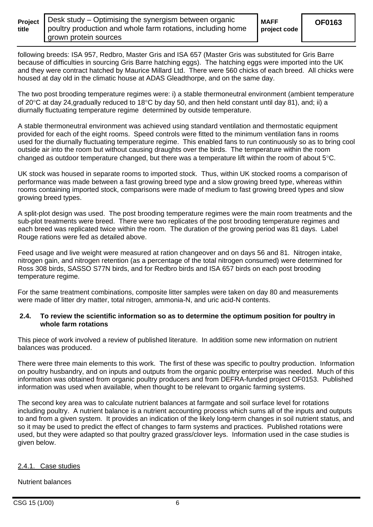| Projed |  |
|--------|--|
| title  |  |

**project code** 

following breeds: ISA 957, Redbro, Master Gris and ISA 657 (Master Gris was substituted for Gris Barre because of difficulties in sourcing Gris Barre hatching eggs). The hatching eggs were imported into the UK and they were contract hatched by Maurice Millard Ltd. There were 560 chicks of each breed. All chicks were housed at day old in the climatic house at ADAS Gleadthorpe, and on the same day.

The two post brooding temperature regimes were: i) a stable thermoneutral environment (ambient temperature of 20 $\degree$ C at day 24, gradually reduced to 18 $\degree$ C by day 50, and then held constant until day 81), and; ii) a diurnally fluctuating temperature regime determined by outside temperature.

A stable thermoneutral environment was achieved using standard ventilation and thermostatic equipment provided for each of the eight rooms. Speed controls were fitted to the minimum ventilation fans in rooms used for the diurnally fluctuating temperature regime. This enabled fans to run continuously so as to bring cool outside air into the room but without causing draughts over the birds. The temperature within the room changed as outdoor temperature changed, but there was a temperature lift within the room of about  $5^{\circ}$ C.

UK stock was housed in separate rooms to imported stock. Thus, within UK stocked rooms a comparison of performance was made between a fast growing breed type and a slow growing breed type, whereas within rooms containing imported stock, comparisons were made of medium to fast growing breed types and slow growing breed types.

A split-plot design was used. The post brooding temperature regimes were the main room treatments and the sub-plot treatments were breed. There were two replicates of the post brooding temperature regimes and each breed was replicated twice within the room. The duration of the growing period was 81 days. Label Rouge rations were fed as detailed above.

Feed usage and live weight were measured at ration changeover and on days 56 and 81. Nitrogen intake, nitrogen gain, and nitrogen retention (as a percentage of the total nitrogen consumed) were determined for Ross 308 birds, SASSO S77N birds, and for Redbro birds and ISA 657 birds on each post brooding temperature regime.

For the same treatment combinations, composite litter samples were taken on day 80 and measurements were made of litter dry matter, total nitrogen, ammonia-N, and uric acid-N contents.

#### **2.4. To review the scientific information so as to determine the optimum position for poultry in whole farm rotations**

This piece of work involved a review of published literature. In addition some new information on nutrient balances was produced.

There were three main elements to this work. The first of these was specific to poultry production. Information on poultry husbandry, and on inputs and outputs from the organic poultry enterprise was needed. Much of this information was obtained from organic poultry producers and from DEFRA-funded project OF0153. Published information was used when available, when thought to be relevant to organic farming systems.

The second key area was to calculate nutrient balances at farmgate and soil surface level for rotations including poultry. A nutrient balance is a nutrient accounting process which sums all of the inputs and outputs to and from a given system. It provides an indication of the likely long-term changes in soil nutrient status, and so it may be used to predict the effect of changes to farm systems and practices. Published rotations were used, but they were adapted so that poultry grazed grass/clover leys. Information used in the case studies is given below.

#### 2.4.1. Case studies

#### Nutrient balances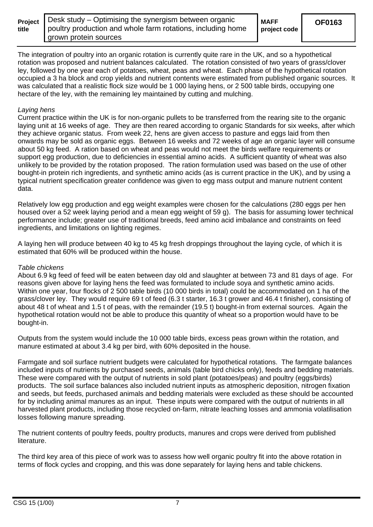| <b>Project</b> |  |
|----------------|--|
| title          |  |

The integration of poultry into an organic rotation is currently quite rare in the UK, and so a hypothetical rotation was proposed and nutrient balances calculated. The rotation consisted of two years of grass/clover ley, followed by one year each of potatoes, wheat, peas and wheat. Each phase of the hypothetical rotation occupied a 3 ha block and crop yields and nutrient contents were estimated from published organic sources. It was calculated that a realistic flock size would be 1 000 laying hens, or 2 500 table birds, occupying one hectare of the ley, with the remaining ley maintained by cutting and mulching.

## *Laying hens*

Current practice within the UK is for non-organic pullets to be transferred from the rearing site to the organic laying unit at 16 weeks of age. They are then reared according to organic Standards for six weeks, after which they achieve organic status. From week 22, hens are given access to pasture and eggs laid from then onwards may be sold as organic eggs. Between 16 weeks and 72 weeks of age an organic layer will consume about 50 kg feed. A ration based on wheat and peas would not meet the birds welfare requirements or support egg production, due to deficiencies in essential amino acids. A sufficient quantity of wheat was also unlikely to be provided by the rotation proposed. The ration formulation used was based on the use of other bought-in protein rich ingredients, and synthetic amino acids (as is current practice in the UK), and by using a typical nutrient specification greater confidence was given to egg mass output and manure nutrient content data.

Relatively low egg production and egg weight examples were chosen for the calculations (280 eggs per hen housed over a 52 week laying period and a mean egg weight of 59 g). The basis for assuming lower technical performance include; greater use of traditional breeds, feed amino acid imbalance and constraints on feed ingredients, and limitations on lighting regimes.

A laying hen will produce between 40 kg to 45 kg fresh droppings throughout the laying cycle, of which it is estimated that 60% will be produced within the house.

#### *Table chickens*

About 6.9 kg feed of feed will be eaten between day old and slaughter at between 73 and 81 days of age. For reasons given above for laying hens the feed was formulated to include soya and synthetic amino acids. Within one year, four flocks of 2 500 table birds (10 000 birds in total) could be accommodated on 1 ha of the grass/clover ley. They would require 69 t of feed (6.3 t starter, 16.3 t grower and 46.4 t finisher), consisting of about 48 t of wheat and 1.5 t of peas, with the remainder (19.5 t) bought-in from external sources. Again the hypothetical rotation would not be able to produce this quantity of wheat so a proportion would have to be bought-in.

Outputs from the system would include the 10 000 table birds, excess peas grown within the rotation, and manure estimated at about 3.4 kg per bird, with 60% deposited in the house.

Farmgate and soil surface nutrient budgets were calculated for hypothetical rotations. The farmgate balances included inputs of nutrients by purchased seeds, animals (table bird chicks only), feeds and bedding materials. These were compared with the output of nutrients in sold plant (potatoes/peas) and poultry (eggs/birds) products. The soil surface balances also included nutrient inputs as atmospheric deposition, nitrogen fixation and seeds, but feeds, purchased animals and bedding materials were excluded as these should be accounted for by including animal manures as an input. These inputs were compared with the output of nutrients in all harvested plant products, including those recycled on-farm, nitrate leaching losses and ammonia volatilisation losses following manure spreading.

The nutrient contents of poultry feeds, poultry products, manures and crops were derived from published literature.

The third key area of this piece of work was to assess how well organic poultry fit into the above rotation in terms of flock cycles and cropping, and this was done separately for laying hens and table chickens.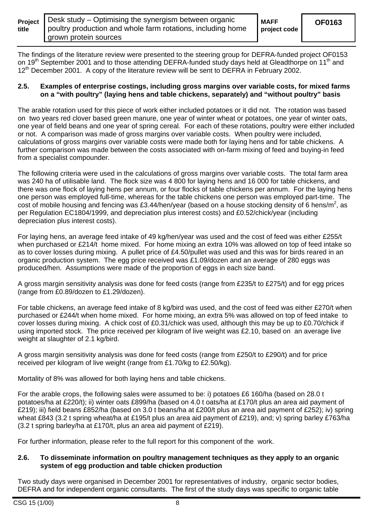| title | <b>Project</b>   Desk study – Optimising the synergism between organic<br>poultry production and whole farm rotations, including home | <b>MAFF</b><br>project code | <b>OF0163</b> |
|-------|---------------------------------------------------------------------------------------------------------------------------------------|-----------------------------|---------------|
|       | I grown protein sources                                                                                                               |                             |               |

The findings of the literature review were presented to the steering group for DEFRA-funded project OF0153 on 19<sup>th</sup> September 2001 and to those attending DEFRA-funded study days held at Gleadthorpe on 11<sup>th</sup> and 12<sup>th</sup> December 2001. A copy of the literature review will be sent to DEFRA in February 2002.

#### **2.5. Examples of enterprise costings, including gross margins over variable costs, for mixed farms on a "with poultry" (laying hens and table chickens, separately) and "without poultry" basis**

The arable rotation used for this piece of work either included potatoes or it did not. The rotation was based on two years red clover based green manure, one year of winter wheat or potatoes, one year of winter oats, one year of field beans and one year of spring cereal. For each of these rotations, poultry were either included or not. A comparison was made of gross margins over variable costs. When poultry were included, calculations of gross margins over variable costs were made both for laying hens and for table chickens. A further comparison was made between the costs associated with on-farm mixing of feed and buying-in feed from a specialist compounder.

The following criteria were used in the calculations of gross margins over variable costs. The total farm area was 240 ha of utilisable land. The flock size was 4 800 for laying hens and 16 000 for table chickens, and there was one flock of laying hens per annum, or four flocks of table chickens per annum. For the laying hens one person was employed full-time, whereas for the table chickens one person was employed part-time. The cost of mobile housing and fencing was £3.44/hen/year (based on a house stocking density of 6 hens/m<sup>2</sup>, as per Regulation EC1804/1999, and depreciation plus interest costs) and £0.52/chick/year (including depreciation plus interest costs).

For laying hens, an average feed intake of 49 kg/hen/year was used and the cost of feed was either £255/t when purchased or £214/t home mixed. For home mixing an extra 10% was allowed on top of feed intake so as to cover losses during mixing. A pullet price of £4.50/pullet was used and this was for birds reared in an organic production system. The egg price received was £1.09/dozen and an average of 280 eggs was produced/hen. Assumptions were made of the proportion of eggs in each size band.

A gross margin sensitivity analysis was done for feed costs (range from £235/t to £275/t) and for egg prices (range from £0.89/dozen to £1.29/dozen).

For table chickens, an average feed intake of 8 kg/bird was used, and the cost of feed was either £270/t when purchased or £244/t when home mixed. For home mixing, an extra 5% was allowed on top of feed intake to cover losses during mixing. A chick cost of £0.31/chick was used, although this may be up to £0.70/chick if using imported stock. The price received per kilogram of live weight was £2.10, based on an average live weight at slaughter of 2.1 kg/bird.

A gross margin sensitivity analysis was done for feed costs (range from £250/t to £290/t) and for price received per kilogram of live weight (range from £1.70/kg to £2.50/kg).

Mortality of 8% was allowed for both laying hens and table chickens.

For the arable crops, the following sales were assumed to be: i) potatoes £6 160/ha (based on 28.0 t potatoes/ha at £220/t); ii) winter oats £899/ha (based on 4.0 t oats/ha at £170/t plus an area aid payment of £219); iii) field beans £852/ha (based on 3.0 t beans/ha at £200/t plus an area aid payment of £252); iv) spring wheat £843 (3.2 t spring wheat/ha at £195/t plus an area aid payment of £219), and; v) spring barley £763/ha (3.2 t spring barley/ha at £170/t, plus an area aid payment of £219).

For further information, please refer to the full report for this component of the work.

#### **2.6. To disseminate information on poultry management techniques as they apply to an organic system of egg production and table chicken production**

Two study days were organised in December 2001 for representatives of industry, organic sector bodies, DEFRA and for independent organic consultants. The first of the study days was specific to organic table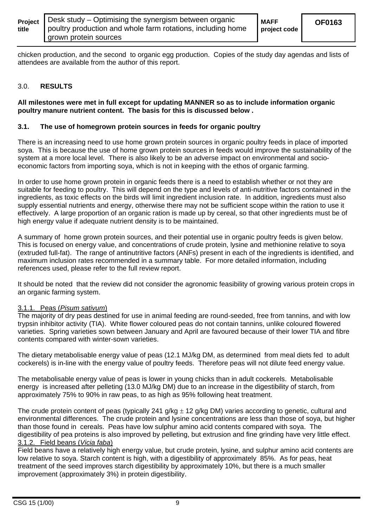| Project | Desk study – Optimising the synergism between organic       | <b>MAFF</b>  | ΟF |
|---------|-------------------------------------------------------------|--------------|----|
| title   | poultry production and whole farm rotations, including home | project code |    |
|         | grown protein sources                                       |              |    |

**OF0163** 

chicken production, and the second to organic egg production. Copies of the study day agendas and lists of attendees are available from the author of this report.

#### 3.0. **RESULTS**

#### **All milestones were met in full except for updating MANNER so as to include information organic poultry manure nutrient content. The basis for this is discussed below .**

#### **3.1. The use of homegrown protein sources in feeds for organic poultry**

There is an increasing need to use home grown protein sources in organic poultry feeds in place of imported soya. This is because the use of home grown protein sources in feeds would improve the sustainability of the system at a more local level. There is also likely to be an adverse impact on environmental and socioeconomic factors from importing soya, which is not in keeping with the ethos of organic farming.

In order to use home grown protein in organic feeds there is a need to establish whether or not they are suitable for feeding to poultry. This will depend on the type and levels of anti-nutritive factors contained in the ingredients, as toxic effects on the birds will limit ingredient inclusion rate. In addition, ingredients must also supply essential nutrients and energy, otherwise there may not be sufficient scope within the ration to use it effectively. A large proportion of an organic ration is made up by cereal, so that other ingredients must be of high energy value if adequate nutrient density is to be maintained.

A summary of home grown protein sources, and their potential use in organic poultry feeds is given below. This is focused on energy value, and concentrations of crude protein, lysine and methionine relative to soya (extruded full-fat). The range of antinutritive factors (ANFs) present in each of the ingredients is identified, and maximum inclusion rates recommended in a summary table. For more detailed information, including references used, please refer to the full review report.

It should be noted that the review did not consider the agronomic feasibility of growing various protein crops in an organic farming system.

#### 3.1.1. Peas (*Pisum sativum*)

The majority of dry peas destined for use in animal feeding are round-seeded, free from tannins, and with low trypsin inhibitor activity (TIA). White flower coloured peas do not contain tannins, unlike coloured flowered varieties. Spring varieties sown between January and April are favoured because of their lower TIA and fibre contents compared with winter-sown varieties.

The dietary metabolisable energy value of peas (12.1 MJ/kg DM, as determined from meal diets fed to adult cockerels) is in-line with the energy value of poultry feeds. Therefore peas will not dilute feed energy value.

The metabolisable energy value of peas is lower in young chicks than in adult cockerels. Metabolisable energy is increased after pelleting (13.0 MJ/kg DM) due to an increase in the digestibility of starch, from approximately 75% to 90% in raw peas, to as high as 95% following heat treatment.

The crude protein content of peas (typically 241 g/kg  $\pm$  12 g/kg DM) varies according to genetic, cultural and environmental differences. The crude protein and lysine concentrations are less than those of soya, but higher than those found in cereals. Peas have low sulphur amino acid contents compared with soya. The digestibility of pea proteins is also improved by pelleting, but extrusion and fine grinding have very little effect. 3.1.2. Field beans (*Vicia faba*)

Field beans have a relatively high energy value, but crude protein, lysine, and sulphur amino acid contents are low relative to sova. Starch content is high, with a digestibility of approximately 85%. As for peas, heat treatment of the seed improves starch digestibility by approximately 10%, but there is a much smaller improvement (approximately 3%) in protein digestibility.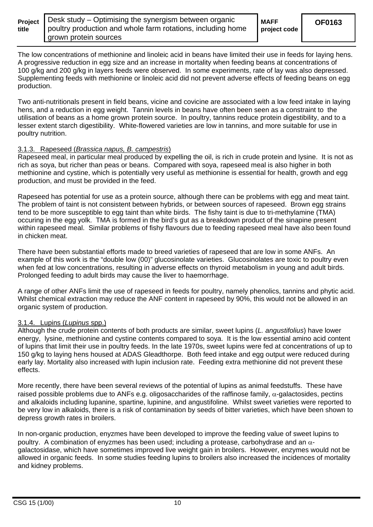| title | <b>Project</b>   Desk study $-$ Optimising the synergism between organic<br>poultry production and whole farm rotations, including home | <b>MAFF</b><br>project code | <b>OF0163</b> |
|-------|-----------------------------------------------------------------------------------------------------------------------------------------|-----------------------------|---------------|
|       | grown protein sources                                                                                                                   |                             |               |

The low concentrations of methionine and linoleic acid in beans have limited their use in feeds for laying hens. A progressive reduction in egg size and an increase in mortality when feeding beans at concentrations of 100 g/kg and 200 g/kg in layers feeds were observed. In some experiments, rate of lay was also depressed. Supplementing feeds with methionine or linoleic acid did not prevent adverse effects of feeding beans on egg production.

Two anti-nutritionals present in field beans, vicine and covicine are associated with a low feed intake in laying hens, and a reduction in egg weight. Tannin levels in beans have often been seen as a constraint to the utilisation of beans as a home grown protein source. In poultry, tannins reduce protein digestibility, and to a lesser extent starch digestibility. White-flowered varieties are low in tannins, and more suitable for use in poultry nutrition.

#### 3.1.3. Rapeseed (*Brassica napus, B. campestris*)

Rapeseed meal, in particular meal produced by expelling the oil, is rich in crude protein and lysine. It is not as rich as soya, but richer than peas or beans. Compared with soya, rapeseed meal is also higher in both methionine and cystine, which is potentially very useful as methionine is essential for health, growth and egg production, and must be provided in the feed.

Rapeseed has potential for use as a protein source, although there can be problems with egg and meat taint. The problem of taint is not consistent between hybrids, or between sources of rapeseed. Brown egg strains tend to be more susceptible to egg taint than white birds. The fishy taint is due to tri-methylamine (TMA) occuring in the egg yolk. TMA is formed in the bird's gut as a breakdown product of the sinapine present within rapeseed meal. Similar problems of fishy flavours due to feeding rapeseed meal have also been found in chicken meat.

There have been substantial efforts made to breed varieties of rapeseed that are low in some ANFs. An example of this work is the "double low (00)" glucosinolate varieties. Glucosinolates are toxic to poultry even when fed at low concentrations, resulting in adverse effects on thyroid metabolism in young and adult birds. Prolonged feeding to adult birds may cause the liver to haemorrhage.

A range of other ANFs limit the use of rapeseed in feeds for poultry, namely phenolics, tannins and phytic acid. Whilst chemical extraction may reduce the ANF content in rapeseed by 90%, this would not be allowed in an organic system of production.

#### 3.1.4. Lupins (*Lupinus* spp.)

Although the crude protein contents of both products are similar, sweet lupins (*L. angustifolius*) have lower energy, lysine, methionine and cystine contents compared to soya. It is the low essential amino acid content of lupins that limit their use in poultry feeds. In the late 1970s, sweet lupins were fed at concentrations of up to 150 g/kg to laying hens housed at ADAS Gleadthorpe. Both feed intake and egg output were reduced during early lay. Mortality also increased with lupin inclusion rate. Feeding extra methionine did not prevent these effects.

More recently, there have been several reviews of the potential of lupins as animal feedstuffs. These have raised possible problems due to ANFs e.g. oligosaccharides of the raffinose family,  $α$ -galactosides, pectins and alkaloids including lupanine, spartine, lupinine, and angustifoline. Whilst sweet varieties were reported to be very low in alkaloids, there is a risk of contamination by seeds of bitter varieties, which have been shown to depress growth rates in broilers.

In non-organic production, enyzmes have been developed to improve the feeding value of sweet lupins to poultry. A combination of enyzmes has been used; including a protease, carbohydrase and an  $\alpha$ galactosidase, which have sometimes improved live weight gain in broilers. However, enzymes would not be allowed in organic feeds. In some studies feeding lupins to broilers also increased the incidences of mortality and kidney problems.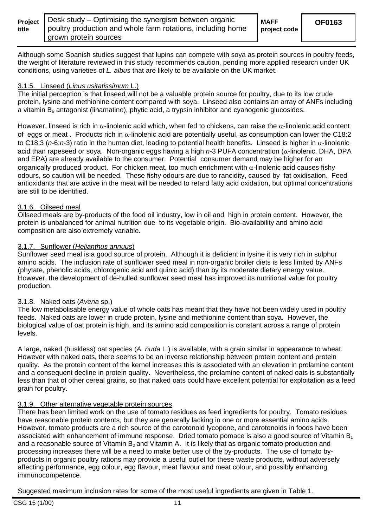| title                 | <b>Project</b>   Desk study $-$ Optimising the synergism between organic | <b>MAFF</b>  |
|-----------------------|--------------------------------------------------------------------------|--------------|
| grown protein sources | poultry production and whole farm rotations, including home              | project code |

Although some Spanish studies suggest that lupins can compete with soya as protein sources in poultry feeds, the weight of literature reviewed in this study recommends caution, pending more applied research under UK conditions, using varieties of *L. albus* that are likely to be available on the UK market.

#### 3.1.5. Linseed (*Linus usitatissimum* L.)

The initial perception is that linseed will not be a valuable protein source for poultry, due to its low crude protein, lysine and methionine content compared with soya. Linseed also contains an array of ANFs including a vitamin  $B_6$  antagonist (linamatine), phytic acid, a trypsin inhibitor and cyanogenic glucosides.

However, linseed is rich in  $\alpha$ -linolenic acid which, when fed to chickens, can raise the  $\alpha$ -linolenic acid content of eggs or meat. Products rich in  $\alpha$ -linolenic acid are potentially useful, as consumption can lower the C18:2 to C18:3 (*n*-6:*n*-3) ratio in the human diet, leading to potential health benefits. Linseed is higher in α-linolenic acid than rapeseed or soya. Non-organic eggs having a high *n*-3 PUFA concentration (α-linolenic, DHA, DPA and EPA) are already available to the consumer. Potential consumer demand may be higher for an organically produced product. For chicken meat, too much enrichment with  $\alpha$ -linolenic acid causes fishy odours, so caution will be needed. These fishy odours are due to rancidity, caused by fat oxidisation. Feed antioxidants that are active in the meat will be needed to retard fatty acid oxidation, but optimal concentrations are still to be identified.

# 3.1.6. Oilseed meal

Oilseed meals are by-products of the food oil industry, low in oil and high in protein content. However, the protein is unbalanced for animal nutrition due to its vegetable origin. Bio-availability and amino acid composition are also extremely variable.

#### 3.1.7. Sunflower (*Helianthus annuus*)

Sunflower seed meal is a good source of protein. Although it is deficient in lysine it is very rich in sulphur amino acids. The inclusion rate of sunflower seed meal in non-organic broiler diets is less limited by ANFs (phytate, phenolic acids, chlorogenic acid and quinic acid) than by its moderate dietary energy value. However, the development of de-hulled sunflower seed meal has improved its nutritional value for poultry production.

### 3.1.8. Naked oats (*Avena* sp.)

The low metabolisable energy value of whole oats has meant that they have not been widely used in poultry feeds. Naked oats are lower in crude protein, lysine and methionine content than soya. However, the biological value of oat protein is high, and its amino acid composition is constant across a range of protein levels.

A large, naked (huskless) oat species (*A. nuda* L.) is available, with a grain similar in appearance to wheat. However with naked oats, there seems to be an inverse relationship between protein content and protein quality. As the protein content of the kernel increases this is associated with an elevation in prolamine content and a consequent decline in protein quality. Nevertheless, the prolamine content of naked oats is substantially less than that of other cereal grains, so that naked oats could have excellent potential for exploitation as a feed grain for poultry.

# 3.1.9. Other alternative vegetable protein sources

There has been limited work on the use of tomato residues as feed ingredients for poultry. Tomato residues have reasonable protein contents, but they are generally lacking in one or more essential amino acids. However, tomato products are a rich source of the carotenoid lycopene, and carotenoids in foods have been associated with enhancement of immune response. Dried tomato pomace is also a good source of Vitamin  $B_1$ and a reasonable source of Vitamin  $B_2$  and Vitamin A. It is likely that as organic tomato production and processing increases there will be a need to make better use of the by-products. The use of tomato byproducts in organic poultry rations may provide a useful outlet for these waste products, without adversely affecting performance, egg colour, egg flavour, meat flavour and meat colour, and possibly enhancing immunocompetence.

Suggested maximum inclusion rates for some of the most useful ingredients are given in Table 1.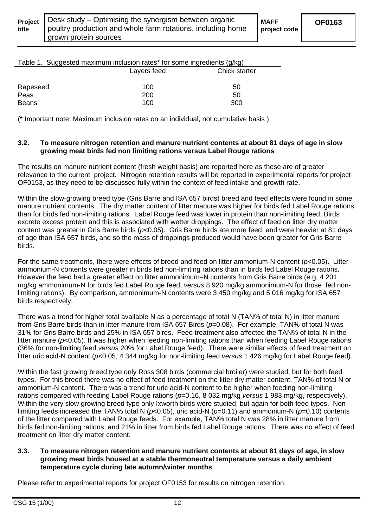**project code** 

| rable 1. Ouggested maximum inclusion rates for some ingredients (g/ng) |             |               |  |  |
|------------------------------------------------------------------------|-------------|---------------|--|--|
|                                                                        | Layers feed | Chick starter |  |  |
|                                                                        |             |               |  |  |
| Rapeseed                                                               | 100         | 50            |  |  |
| Peas                                                                   | 200         | 50            |  |  |
| <b>Beans</b>                                                           | 100         | 300           |  |  |

 $Table 1.$  Suggested maximum inclusion rates\* for some ingredients  $(a/kg)$ 

(\* Important note: Maximum inclusion rates on an individual, not cumulative basis ).

#### **3.2. To measure nitrogen retention and manure nutrient contents at about 81 days of age in slow growing meat birds fed non limiting rations versus Label Rouge rations**

The results on manure nutrient content (fresh weight basis) are reported here as these are of greater relevance to the current project. Nitrogen retention results will be reported in experimental reports for project OF0153, as they need to be discussed fully within the context of feed intake and growth rate.

Within the slow-growing breed type (Gris Barre and ISA 657 birds) breed and feed effects were found in some manure nutrient contents. The dry matter content of litter manure was higher for birds fed Label Rouge rations than for birds fed non-limiting rations. Label Rouge feed was lower in protein than non-limiting feed. Birds excrete excess protein and this is associated with wetter droppings. The effect of feed on litter dry matter content was greater in Gris Barre birds (*p*<0.05). Gris Barre birds ate more feed, and were heavier at 81 days of age than ISA 657 birds, and so the mass of droppings produced would have been greater for Gris Barre birds.

For the same treatments, there were effects of breed and feed on litter ammonium-N content (*p*<0.05). Litter ammonium-N contents were greater in birds fed non-limiting rations than in birds fed Label Rouge rations. However the feed had a greater effect on litter ammonimum–N contents from Gris Barre birds (e.g. 4 201 mg/kg ammonimum-N for birds fed Label Rouge feed, *versus* 8 920 mg/kg ammonimum-N for those fed nonlimiting rations). By comparison, ammonimum-N contents were 3 450 mg/kg and 5 016 mg/kg for ISA 657 birds respectively.

There was a trend for higher total available N as a percentage of total N (TAN% of total N) in litter manure from Gris Barre birds than in litter manure from ISA 657 Birds ( $p=0.08$ ). For example, TAN% of total N was 31% for Gris Barre birds and 25% in ISA 657 birds. Feed treatment also affected the TAN% of total N in the litter manure (*p*<0.05). It was higher when feeding non-limiting rations than when feeding Label Rouge rations (36% for non-limiting feed *versus* 20% for Label Rouge feed). There were similar effects of feed treatment on litter uric acid-N content (*p*<0.05, 4 344 mg/kg for non-limiting feed *versus* 1 426 mg/kg for Label Rouge feed).

Within the fast growing breed type only Ross 308 birds (commercial broiler) were studied, but for both feed types. For this breed there was no effect of feed treatment on the litter dry matter content, TAN% of total N or ammonium-N content. There was a trend for uric acid-N content to be higher when feeding non-limiting rations compared with feeding Label Rouge rations (*p*=0.16, 8 032 mg/kg *versus* 1 983 mg/kg, respectively). Within the very slow growing breed type only Ixworth birds were studied, but again for both feed types. Nonlimiting feeds increased the TAN% total N (*p*<0.05), uric acid-N (*p*=0.11) and ammonium-N (*p*=0.10) contents of the litter compared with Label Rouge feeds. For example, TAN% total N was 28% in litter manure from birds fed non-limiting rations, and 21% in litter from birds fed Label Rouge rations. There was no effect of feed treatment on litter dry matter content.

#### **3.3. To measure nitrogen retention and manure nutrient contents at about 81 days of age, in slow growing meat birds housed at a stable thermoneutral temperature versus a daily ambient temperature cycle during late autumn/winter months**

Please refer to experimental reports for project OF0153 for results on nitrogen retention.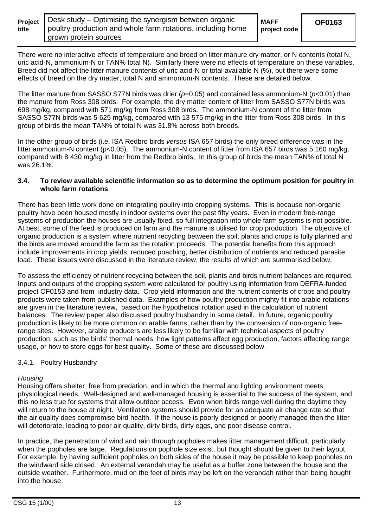| Project |  |
|---------|--|
| title   |  |

There were no interactive effects of temperature and breed on litter manure dry matter, or N contents (total N, uric acid-N, ammonium-N or TAN% total N). Similarly there were no effects of temperature on these variables. Breed did not affect the litter manure contents of uric acid-N or total available N (%), but there were some effects of breed on the dry matter, total N and ammonium-N contents. These are detailed below.

The litter manure from SASSO S77N birds was drier (*p*=0.05) and contained less ammonium-N (*p*<0.01) than the manure from Ross 308 birds. For example, the dry matter content of litter from SASSO S77N birds was 698 mg/kg, compared with 571 mg/kg from Ross 308 birds. The ammonium-N content of the litter from SASSO S77N birds was 5 625 mg/kg, compared with 13 575 mg/kg in the litter from Ross 308 birds. In this group of birds the mean TAN% of total N was 31.8% across both breeds.

In the other group of birds (i.e. ISA Redbro birds *versus* ISA 657 birds) the only breed difference was in the litter ammonium-N content (p<0.05). The ammonium-N content of litter from ISA 657 birds was 5 160 mg/kg, compared with 8 430 mg/kg in litter from the Redbro birds. In this group of birds the mean TAN% of total N was 26.1%.

#### **3.4. To review available scientific information so as to determine the optimum position for poultry in whole farm rotations**

There has been little work done on integrating poultry into cropping systems. This is because non-organic poultry have been housed mostly in indoor systems over the past fifty years. Even in modern free-range systems of production the houses are usually fixed, so full integration into whole farm systems is not possible. At best, some of the feed is produced on farm and the manure is utilised for crop production. The objective of organic production is a system where nutrient recycling between the soil, plants and crops is fully planned and the birds are moved around the farm as the rotation proceeds. The potential benefits from this approach include improvements in crop yields, reduced poaching, better distribution of nutrients and reduced parasite load. These issues were discussed in the literature review, the results of which are summarised below.

To assess the efficiency of nutrient recycling between the soil, plants and birds nutrient balances are required. Inputs and outputs of the cropping system were calculated for poultry using information from DEFRA-funded project OF0153 and from industry data. Crop yield information and the nutrient contents of crops and poultry products were taken from published data. Examples of how poultry production mighty fit into arable rotations are given in the literature review, based on the hypothetical rotation used in the calculation of nutrient balances. The review paper also discussed poultry husbandry in some detail. In future, organic poultry production is likely to be more common on arable farms, rather than by the conversion of non-organic freerange sites. However, arable producers are less likely to be familiar with technical aspects of poultry production, such as the birds' thermal needs, how light patterns affect egg production, factors affecting range usage, or how to store eggs for best quality. Some of these are discussed below.

#### 3.4.1. Poultry Husbandry

#### *Housing*

Housing offers shelter free from predation, and in which the thermal and lighting environment meets physiological needs. Well-designed and well-managed housing is essential to the success of the system, and this no less true for systems that allow outdoor access. Even when birds range well during the daytime they will return to the house at night. Ventilation systems should provide for an adequate air change rate so that the air quality does compromise bird health. If the house is poorly designed or poorly managed then the litter will deteriorate, leading to poor air quality, dirty birds, dirty eggs, and poor disease control.

In practice, the penetration of wind and rain through popholes makes litter management difficult, particularly when the popholes are large. Regulations on pophole size exist, but thought should be given to their layout. For example, by having sufficient popholes on both sides of the house it may be possible to keep popholes on the windward side closed. An external verandah may be useful as a buffer zone between the house and the outside weather. Furthermore, mud on the feet of birds may be left on the verandah rather than being bought into the house.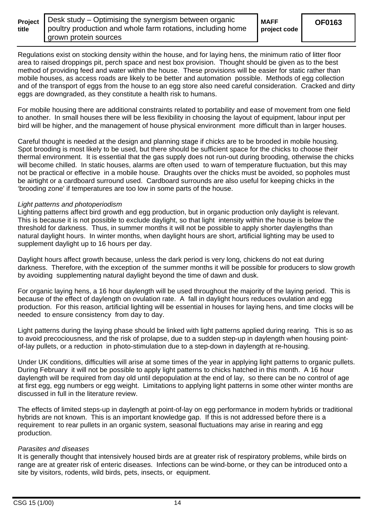**Project title** 

**MAFF** 

**project code** 

Regulations exist on stocking density within the house, and for laying hens, the minimum ratio of litter floor area to raised droppings pit, perch space and nest box provision. Thought should be given as to the best method of providing feed and water within the house. These provisions will be easier for static rather than mobile houses, as access roads are likely to be better and automation possible. Methods of egg collection and of the transport of eggs from the house to an egg store also need careful consideration. Cracked and dirty eggs are downgraded, as they constitute a health risk to humans.

For mobile housing there are additional constraints related to portability and ease of movement from one field to another. In small houses there will be less flexibility in choosing the layout of equipment, labour input per bird will be higher, and the management of house physical environment more difficult than in larger houses.

Careful thought is needed at the design and planning stage if chicks are to be brooded in mobile housing. Spot brooding is most likely to be used, but there should be sufficient space for the chicks to choose their thermal environment. It is essential that the gas supply does not run-out during brooding, otherwise the chicks will become chilled. In static houses, alarms are often used to warn of temperature fluctuation, but this may not be practical or effective in a mobile house. Draughts over the chicks must be avoided, so popholes must be airtight or a cardboard surround used. Cardboard surrounds are also useful for keeping chicks in the 'brooding zone' if temperatures are too low in some parts of the house.

#### *Light patterns and photoperiodism*

Lighting patterns affect bird growth and egg production, but in organic production only daylight is relevant. This is because it is not possible to exclude daylight, so that light intensity within the house is below the threshold for darkness. Thus, in summer months it will not be possible to apply shorter daylengths than natural daylight hours. In winter months, when daylight hours are short, artificial lighting may be used to supplement daylight up to 16 hours per day.

Daylight hours affect growth because, unless the dark period is very long, chickens do not eat during darkness. Therefore, with the exception of the summer months it will be possible for producers to slow growth by avoiding supplementing natural daylight beyond the time of dawn and dusk.

For organic laying hens, a 16 hour daylength will be used throughout the majority of the laying period. This is because of the effect of daylength on ovulation rate. A fall in daylight hours reduces ovulation and egg production. For this reason, artificial lighting will be essential in houses for laying hens, and time clocks will be needed to ensure consistency from day to day.

Light patterns during the laying phase should be linked with light patterns applied during rearing. This is so as to avoid precociousness, and the risk of prolapse, due to a sudden step-up in daylength when housing pointof-lay pullets, or a reduction in photo-stimulation due to a step-down in daylength at re-housing.

Under UK conditions, difficulties will arise at some times of the year in applying light patterns to organic pullets. During February it will not be possible to apply light patterns to chicks hatched in this month. A 16 hour daylength will be required from day old until depopulation at the end of lay, so there can be no control of age at first egg, egg numbers or egg weight. Limitations to applying light patterns in some other winter months are discussed in full in the literature review.

The effects of limited steps-up in daylength at point-of-lay on egg performance in modern hybrids or traditional hybrids are not known. This is an important knowledge gap. If this is not addressed before there is a requirement to rear pullets in an organic system, seasonal fluctuations may arise in rearing and egg production.

#### *Parasites and diseases*

It is generally thought that intensively housed birds are at greater risk of respiratory problems, while birds on range are at greater risk of enteric diseases. Infections can be wind-borne, or they can be introduced onto a site by visitors, rodents, wild birds, pets, insects, or equipment.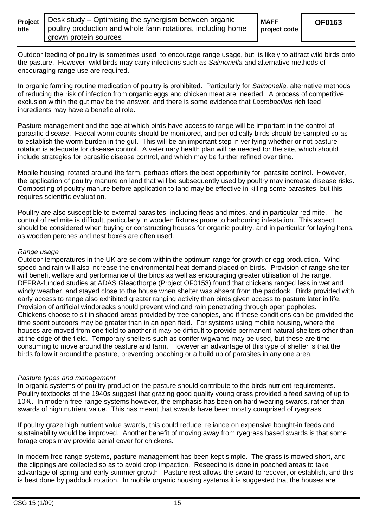| Projed |  |
|--------|--|
| title  |  |

**project code** 

Outdoor feeding of poultry is sometimes used to encourage range usage, but is likely to attract wild birds onto the pasture. However, wild birds may carry infections such as *Salmonella* and alternative methods of encouraging range use are required.

In organic farming routine medication of poultry is prohibited. Particularly for *Salmonella,* alternative methods of reducing the risk of infection from organic eggs and chicken meat are needed. A process of competitive exclusion within the gut may be the answer, and there is some evidence that *Lactobacillus* rich feed ingredients may have a beneficial role.

Pasture management and the age at which birds have access to range will be important in the control of parasitic disease. Faecal worm counts should be monitored, and periodically birds should be sampled so as to establish the worm burden in the gut. This will be an important step in verifying whether or not pasture rotation is adequate for disease control. A veterinary health plan will be needed for the site, which should include strategies for parasitic disease control, and which may be further refined over time.

Mobile housing, rotated around the farm, perhaps offers the best opportunity for parasite control. However, the application of poultry manure on land that will be subsequently used by poultry may increase disease risks. Composting of poultry manure before application to land may be effective in killing some parasites, but this requires scientific evaluation.

Poultry are also susceptible to external parasites, including fleas and mites, and in particular red mite. The control of red mite is difficult, particularly in wooden fixtures prone to harbouring infestation. This aspect should be considered when buying or constructing houses for organic poultry, and in particular for laying hens, as wooden perches and nest boxes are often used.

#### *Range usage*

Outdoor temperatures in the UK are seldom within the optimum range for growth or egg production. Windspeed and rain will also increase the environmental heat demand placed on birds. Provision of range shelter will benefit welfare and performance of the birds as well as encouraging greater utilisation of the range. DEFRA-funded studies at ADAS Gleadthorpe (Project OF0153) found that chickens ranged less in wet and windy weather, and stayed close to the house when shelter was absent from the paddock. Birds provided with early access to range also exhibited greater ranging activity than birds given access to pasture later in life. Provision of artificial windbreaks should prevent wind and rain penetrating through open popholes. Chickens choose to sit in shaded areas provided by tree canopies, and if these conditions can be provided the time spent outdoors may be greater than in an open field. For systems using mobile housing, where the houses are moved from one field to another it may be difficult to provide permanent natural shelters other than at the edge of the field. Temporary shelters such as conifer wigwams may be used, but these are time consuming to move around the pasture and farm. However an advantage of this type of shelter is that the birds follow it around the pasture, preventing poaching or a build up of parasites in any one area.

#### *Pasture types and management*

In organic systems of poultry production the pasture should contribute to the birds nutrient requirements. Poultry textbooks of the 1940s suggest that grazing good quality young grass provided a feed saving of up to 10%. In modern free-range systems however, the emphasis has been on hard wearing swards, rather than swards of high nutrient value. This has meant that swards have been mostly comprised of ryegrass.

If poultry graze high nutrient value swards, this could reduce reliance on expensive bought-in feeds and sustainability would be improved. Another benefit of moving away from ryegrass based swards is that some forage crops may provide aerial cover for chickens.

In modern free-range systems, pasture management has been kept simple. The grass is mowed short, and the clippings are collected so as to avoid crop impaction. Reseeding is done in poached areas to take advantage of spring and early summer growth. Pasture rest allows the sward to recover, or establish, and this is best done by paddock rotation. In mobile organic housing systems it is suggested that the houses are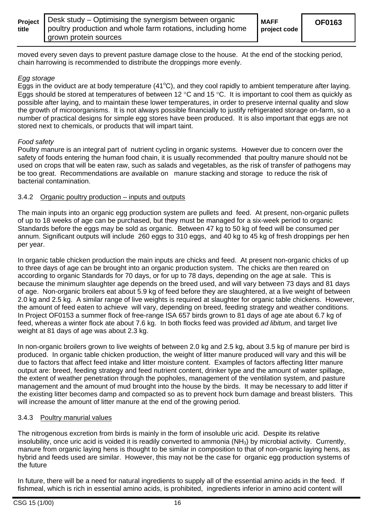| title | <b>Project</b>   Desk study - Optimising the synergism between organic<br>poultry production and whole farm rotations, including home<br>I grown protein sources | <b>MAFF</b><br>project code |
|-------|------------------------------------------------------------------------------------------------------------------------------------------------------------------|-----------------------------|
|-------|------------------------------------------------------------------------------------------------------------------------------------------------------------------|-----------------------------|

moved every seven days to prevent pasture damage close to the house. At the end of the stocking period, chain harrowing is recommended to distribute the droppings more evenly.

#### *Egg storage*

Eggs in the oviduct are at body temperature (41 $^{\circ}$ C), and they cool rapidly to ambient temperature after laying. Eggs should be stored at temperatures of between 12 °C and 15 °C. It is important to cool them as quickly as possible after laying, and to maintain these lower temperatures, in order to preserve internal quality and slow the growth of microorganisms. It is not always possible financially to justify refrigerated storage on-farm, so a number of practical designs for simple egg stores have been produced. It is also important that eggs are not stored next to chemicals, or products that will impart taint.

#### *Food safety*

Poultry manure is an integral part of nutrient cycling in organic systems. However due to concern over the safety of foods entering the human food chain, it is usually recommended that poultry manure should not be used on crops that will be eaten raw, such as salads and vegetables, as the risk of transfer of pathogens may be too great. Recommendations are available on manure stacking and storage to reduce the risk of bacterial contamination.

#### 3.4.2 Organic poultry production – inputs and outputs

The main inputs into an organic egg production system are pullets and feed. At present, non-organic pullets of up to 18 weeks of age can be purchased, but they must be managed for a six-week period to organic Standards before the eggs may be sold as organic. Between 47 kg to 50 kg of feed will be consumed per annum. Significant outputs will include 260 eggs to 310 eggs, and 40 kg to 45 kg of fresh droppings per hen per year.

In organic table chicken production the main inputs are chicks and feed. At present non-organic chicks of up to three days of age can be brought into an organic production system. The chicks are then reared on according to organic Standards for 70 days, or for up to 78 days, depending on the age at sale. This is because the minimum slaughter age depends on the breed used, and will vary between 73 days and 81 days of age. Non-organic broilers eat about 5.9 kg of feed before they are slaughtered, at a live weight of between 2.0 kg and 2.5 kg. A similar range of live weights is required at slaughter for organic table chickens. However, the amount of feed eaten to achieve will vary, depending on breed, feeding strategy and weather conditions. In Project OF0153 a summer flock of free-range ISA 657 birds grown to 81 days of age ate about 6.7 kg of feed, whereas a winter flock ate about 7.6 kg. In both flocks feed was provided *ad libitum*, and target live weight at 81 days of age was about 2.3 kg.

In non-organic broilers grown to live weights of between 2.0 kg and 2.5 kg, about 3.5 kg of manure per bird is produced. In organic table chicken production, the weight of litter manure produced will vary and this will be due to factors that affect feed intake and litter moisture content. Examples of factors affecting litter manure output are: breed, feeding strategy and feed nutrient content, drinker type and the amount of water spillage, the extent of weather penetration through the popholes, management of the ventilation system, and pasture management and the amount of mud brought into the house by the birds. It may be necessary to add litter if the existing litter becomes damp and compacted so as to prevent hock burn damage and breast blisters. This will increase the amount of litter manure at the end of the growing period.

#### 3.4.3 Poultry manurial values

The nitrogenous excretion from birds is mainly in the form of insoluble uric acid. Despite its relative insolubility, once uric acid is voided it is readily converted to ammonia (NH<sub>3</sub>) by microbial activity. Currently, manure from organic laying hens is thought to be similar in composition to that of non-organic laying hens, as hybrid and feeds used are similar. However, this may not be the case for organic egg production systems of the future

In future, there will be a need for natural ingredients to supply all of the essential amino acids in the feed. If fishmeal, which is rich in essential amino acids, is prohibited, ingredients inferior in amino acid content will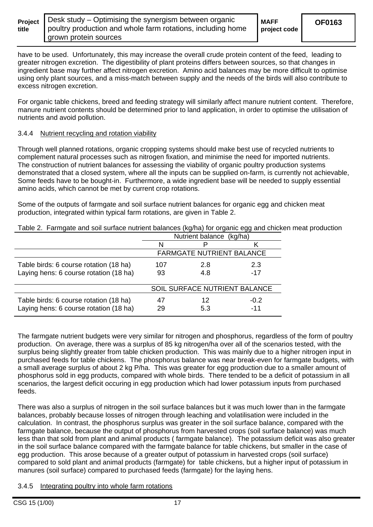|       | <b>Project</b>   Desk study – Optimising the synergism between organic | <b>MAFF</b>  |
|-------|------------------------------------------------------------------------|--------------|
| title | poultry production and whole farm rotations, including home            | project code |
|       | I grown protein sources                                                |              |

have to be used. Unfortunately, this may increase the overall crude protein content of the feed, leading to greater nitrogen excretion. The digestibility of plant proteins differs between sources, so that changes in ingredient base may further affect nitrogen excretion. Amino acid balances may be more difficult to optimise using only plant sources, and a miss-match between supply and the needs of the birds will also contribute to excess nitrogen excretion.

For organic table chickens, breed and feeding strategy will similarly affect manure nutrient content. Therefore, manure nutrient contents should be determined prior to land application, in order to optimise the utilisation of nutrients and avoid pollution.

#### 3.4.4 Nutrient recycling and rotation viability

Through well planned rotations, organic cropping systems should make best use of recycled nutrients to complement natural processes such as nitrogen fixation, and minimise the need for imported nutrients. The construction of nutrient balances for assessing the viability of organic poultry production systems demonstrated that a closed system, where all the inputs can be supplied on-farm, is currently not achievable, Some feeds have to be bought-in. Furthermore, a wide ingredient base will be needed to supply essential amino acids, which cannot be met by current crop rotations.

Some of the outputs of farmgate and soil surface nutrient balances for organic egg and chicken meat production, integrated within typical farm rotations, are given in Table 2.

|                                                                                  |                                  |           | ັັ              |
|----------------------------------------------------------------------------------|----------------------------------|-----------|-----------------|
|                                                                                  | Nutrient balance (kg/ha)         |           |                 |
|                                                                                  |                                  |           |                 |
|                                                                                  | <b>FARMGATE NUTRIENT BALANCE</b> |           |                 |
| Table birds: 6 course rotation (18 ha)                                           | 107                              | 2.8       | 2.3             |
| Laying hens: 6 course rotation (18 ha)                                           | 93                               | 4.8       | $-17$           |
|                                                                                  |                                  |           |                 |
|                                                                                  | SOIL SURFACE NUTRIENT BALANCE    |           |                 |
| Table birds: 6 course rotation (18 ha)<br>Laying hens: 6 course rotation (18 ha) | 29                               | 12<br>5.3 | $-0.2$<br>$-11$ |

Table 2. Farmgate and soil surface nutrient balances (kg/ha) for organic egg and chicken meat production

The farmgate nutrient budgets were very similar for nitrogen and phosphorus, regardless of the form of poultry production. On average, there was a surplus of 85 kg nitrogen/ha over all of the scenarios tested, with the surplus being slightly greater from table chicken production. This was mainly due to a higher nitrogen input in purchased feeds for table chickens. The phosphorus balance was near break-even for farmgate budgets, with a small average surplus of about 2 kg P/ha. This was greater for egg production due to a smaller amount of phosphorus sold in egg products, compared with whole birds. There tended to be a deficit of potassium in all scenarios, the largest deficit occuring in egg production which had lower potassium inputs from purchased feeds.

There was also a surplus of nitrogen in the soil surface balances but it was much lower than in the farmgate balances, probably because losses of nitrogen through leaching and volatilisation were included in the calculation. In contrast, the phosphorus surplus was greater in the soil surface balance, compared with the farmgate balance, because the output of phosphorus from harvested crops (soil surface balance) was much less than that sold from plant and animal products ( farmgate balance). The potassium deficit was also greater in the soil surface balance compared with the farmgate balance for table chickens, but smaller in the case of egg production. This arose because of a greater output of potassium in harvested crops (soil surface) compared to sold plant and animal products (farmgate) for table chickens, but a higher input of potassium in manures (soil surface) compared to purchased feeds (farmgate) for the laying hens.

#### 3.4.5 Integrating poultry into whole farm rotations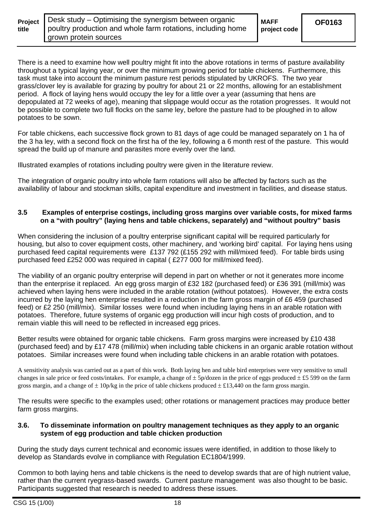| <b>Project</b> |  |
|----------------|--|
| title          |  |

**project code** 

There is a need to examine how well poultry might fit into the above rotations in terms of pasture availability throughout a typical laying year, or over the minimum growing period for table chickens. Furthermore, this task must take into account the minimum pasture rest periods stipulated by UKROFS. The two year grass/clover ley is available for grazing by poultry for about 21 or 22 months, allowing for an establishment period. A flock of laying hens would occupy the ley for a little over a year (assuming that hens are depopulated at 72 weeks of age), meaning that slippage would occur as the rotation progresses. It would not be possible to complete two full flocks on the same ley, before the pasture had to be ploughed in to allow potatoes to be sown.

For table chickens, each successive flock grown to 81 days of age could be managed separately on 1 ha of the 3 ha ley, with a second flock on the first ha of the ley, following a 6 month rest of the pasture. This would spread the build up of manure and parasites more evenly over the land.

Illustrated examples of rotations including poultry were given in the literature review.

The integration of organic poultry into whole farm rotations will also be affected by factors such as the availability of labour and stockman skills, capital expenditure and investment in facilities, and disease status.

#### **3.5 Examples of enterprise costings, including gross margins over variable costs, for mixed farms on a "with poultry" (laying hens and table chickens, separately) and "without poultry" basis**

When considering the inclusion of a poultry enterprise significant capital will be required particularly for housing, but also to cover equipment costs, other machinery, and 'working bird' capital. For laying hens using purchased feed capital requirements were £137 792 (£155 292 with mill/mixed feed). For table birds using purchased feed £252 000 was required in capital ( £277 000 for mill/mixed feed).

The viability of an organic poultry enterprise will depend in part on whether or not it generates more income than the enterprise it replaced. An egg gross margin of £32 182 (purchased feed) or £36 391 (mill/mix) was achieved when laying hens were included in the arable rotation (without potatoes). However, the extra costs incurred by the laying hen enterprise resulted in a reduction in the farm gross margin of £6 459 (purchased feed) or £2 250 (mill/mix). Similar losses were found when including laying hens in an arable rotation with potatoes. Therefore, future systems of organic egg production will incur high costs of production, and to remain viable this will need to be reflected in increased egg prices.

Better results were obtained for organic table chickens. Farm gross margins were increased by £10 438 (purchased feed) and by £17 478 (mill/mix) when including table chickens in an organic arable rotation without potatoes. Similar increases were found when including table chickens in an arable rotation with potatoes.

A sensitivity analysis was carried out as a part of this work. Both laying hen and table bird enterprises were very sensitive to small changes in sale price or feed costs/intakes. For example, a change of  $\pm 5p/dozen$  in the price of eggs produced  $\pm \pounds 5599$  on the farm gross margin, and a change of  $\pm 10p/kg$  in the price of table chickens produced  $\pm \text{\pounds}13,440$  on the farm gross margin.

The results were specific to the examples used; other rotations or management practices may produce better farm gross margins.

#### **3.6. To disseminate information on poultry management techniques as they apply to an organic system of egg production and table chicken production**

During the study days current technical and economic issues were identified, in addition to those likely to develop as Standards evolve in compliance with Regulation EC1804/1999.

Common to both laying hens and table chickens is the need to develop swards that are of high nutrient value, rather than the current ryegrass-based swards. Current pasture management was also thought to be basic. Participants suggested that research is needed to address these issues.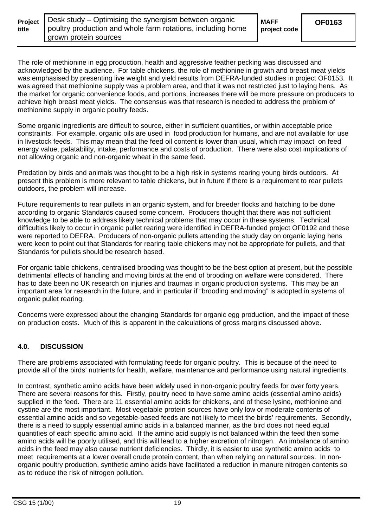| <b>Project</b> |  |
|----------------|--|
| title          |  |

The role of methionine in egg production, health and aggressive feather pecking was discussed and acknowledged by the audience. For table chickens, the role of methionine in growth and breast meat yields was emphasised by presenting live weight and yield results from DEFRA-funded studies in project OF0153. It was agreed that methionine supply was a problem area, and that it was not restricted just to laying hens. As the market for organic convenience foods, and portions, increases there will be more pressure on producers to achieve high breast meat yields. The consensus was that research is needed to address the problem of methionine supply in organic poultry feeds.

Some organic ingredients are difficult to source, either in sufficient quantities, or within acceptable price constraints. For example, organic oils are used in food production for humans, and are not available for use in livestock feeds. This may mean that the feed oil content is lower than usual, which may impact on feed energy value, palatability, intake, performance and costs of production. There were also cost implications of not allowing organic and non-organic wheat in the same feed.

Predation by birds and animals was thought to be a high risk in systems rearing young birds outdoors. At present this problem is more relevant to table chickens, but in future if there is a requirement to rear pullets outdoors, the problem will increase.

Future requirements to rear pullets in an organic system, and for breeder flocks and hatching to be done according to organic Standards caused some concern. Producers thought that there was not sufficient knowledge to be able to address likely technical problems that may occur in these systems. Technical difficulties likely to occur in organic pullet rearing were identified in DEFRA-funded project OF0192 and these were reported to DEFRA. Producers of non-organic pullets attending the study day on organic laying hens were keen to point out that Standards for rearing table chickens may not be appropriate for pullets, and that Standards for pullets should be research based.

For organic table chickens, centralised brooding was thought to be the best option at present, but the possible detrimental effects of handling and moving birds at the end of brooding on welfare were considered. There has to date been no UK research on injuries and traumas in organic production systems. This may be an important area for research in the future, and in particular if "brooding and moving" is adopted in systems of organic pullet rearing.

Concerns were expressed about the changing Standards for organic egg production, and the impact of these on production costs. Much of this is apparent in the calculations of gross margins discussed above.

# **4.0. DISCUSSION**

There are problems associated with formulating feeds for organic poultry. This is because of the need to provide all of the birds' nutrients for health, welfare, maintenance and performance using natural ingredients.

In contrast, synthetic amino acids have been widely used in non-organic poultry feeds for over forty years. There are several reasons for this. Firstly, poultry need to have some amino acids (essential amino acids) supplied in the feed. There are 11 essential amino acids for chickens, and of these lysine, methionine and cystine are the most important. Most vegetable protein sources have only low or moderate contents of essential amino acids and so vegetable-based feeds are not likely to meet the birds' requirements. Secondly, there is a need to supply essential amino acids in a balanced manner, as the bird does not need equal quantities of each specific amino acid. If the amino acid supply is not balanced within the feed then some amino acids will be poorly utilised, and this will lead to a higher excretion of nitrogen. An imbalance of amino acids in the feed may also cause nutrient deficiencies. Thirdly, it is easier to use synthetic amino acids to meet requirements at a lower overall crude protein content, than when relying on natural sources. In nonorganic poultry production, synthetic amino acids have facilitated a reduction in manure nitrogen contents so as to reduce the risk of nitrogen pollution.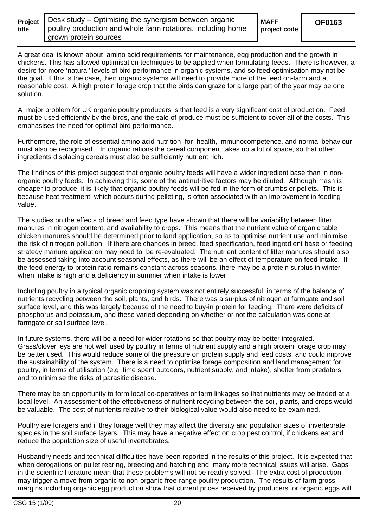| <b>Project</b> |  |
|----------------|--|
| title          |  |

**project code** 

A great deal is known about amino acid requirements for maintenance, egg production and the growth in chickens. This has allowed optimisation techniques to be applied when formulating feeds. There is however, a desire for more 'natural' levels of bird performance in organic systems, and so feed optimisation may not be the goal. If this is the case, then organic systems will need to provide more of the feed on-farm and at reasonable cost. A high protein forage crop that the birds can graze for a large part of the year may be one solution.

A major problem for UK organic poultry producers is that feed is a very significant cost of production. Feed must be used efficiently by the birds, and the sale of produce must be sufficient to cover all of the costs. This emphasises the need for optimal bird performance.

Furthermore, the role of essential amino acid nutrition for health, immunocompetence, and normal behaviour must also be recognised. In organic rations the cereal component takes up a lot of space, so that other ingredients displacing cereals must also be sufficiently nutrient rich.

The findings of this project suggest that organic poultry feeds will have a wider ingredient base than in nonorganic poultry feeds. In achieving this, some of the antinutritive factors may be diluted. Although mash is cheaper to produce, it is likely that organic poultry feeds will be fed in the form of crumbs or pellets. This is because heat treatment, which occurs during pelleting, is often associated with an improvement in feeding value.

The studies on the effects of breed and feed type have shown that there will be variability between litter manures in nitrogen content, and availability to crops. This means that the nutrient value of organic table chicken manures should be determined prior to land application, so as to optimise nutrient use and minimise the risk of nitrogen pollution. If there are changes in breed, feed specification, feed ingredient base or feeding strategy manure application may need to be re-evaluated. The nutrient content of litter manures should also be assessed taking into account seasonal effects, as there will be an effect of temperature on feed intake. If the feed energy to protein ratio remains constant across seasons, there may be a protein surplus in winter when intake is high and a deficiency in summer when intake is lower.

Including poultry in a typical organic cropping system was not entirely successful, in terms of the balance of nutrients recycling between the soil, plants, and birds. There was a surplus of nitrogen at farmgate and soil surface level, and this was largely because of the need to buy-in protein for feeding. There were deficits of phosphorus and potassium, and these varied depending on whether or not the calculation was done at farmgate or soil surface level.

In future systems, there will be a need for wider rotations so that poultry may be better integrated. Grass/clover leys are not well used by poultry in terms of nutrient supply and a high protein forage crop may be better used. This would reduce some of the pressure on protein supply and feed costs, and could improve the sustainability of the system. There is a need to optimise forage composition and land management for poultry, in terms of utilisation (e.g. time spent outdoors, nutrient supply, and intake), shelter from predators, and to minimise the risks of parasitic disease.

There may be an opportunity to form local co-operatives or farm linkages so that nutrients may be traded at a local level. An assessment of the effectiveness of nutrient recycling between the soil, plants, and crops would be valuable. The cost of nutrients relative to their biological value would also need to be examined.

Poultry are foragers and if they forage well they may affect the diversity and population sizes of invertebrate species in the soil surface layers. This may have a negative effect on crop pest control, if chickens eat and reduce the population size of useful invertebrates.

Husbandry needs and technical difficulties have been reported in the results of this project. It is expected that when derogations on pullet rearing, breeding and hatching end many more technical issues will arise. Gaps in the scientific literature mean that these problems will not be readily solved. The extra cost of production may trigger a move from organic to non-organic free-range poultry production. The results of farm gross margins including organic egg production show that current prices received by producers for organic eggs will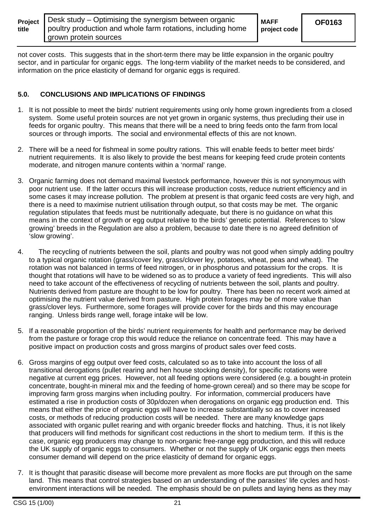| title | <b>Project</b>   Desk study - Optimising the synergism between organic<br>poultry production and whole farm rotations, including home | <b>MAFF</b><br>project code | <b>OF0163</b> |
|-------|---------------------------------------------------------------------------------------------------------------------------------------|-----------------------------|---------------|
|       | grown protein sources                                                                                                                 |                             |               |

not cover costs. This suggests that in the short-term there may be little expansion in the organic poultry sector, and in particular for organic eggs. The long-term viability of the market needs to be considered, and information on the price elasticity of demand for organic eggs is required.

#### **5.0. CONCLUSIONS AND IMPLICATIONS OF FINDINGS**

- 1. It is not possible to meet the birds' nutrient requirements using only home grown ingredients from a closed system. Some useful protein sources are not yet grown in organic systems, thus precluding their use in feeds for organic poultry. This means that there will be a need to bring feeds onto the farm from local sources or through imports. The social and environmental effects of this are not known.
- 2. There will be a need for fishmeal in some poultry rations. This will enable feeds to better meet birds' nutrient requirements. It is also likely to provide the best means for keeping feed crude protein contents moderate, and nitrogen manure contents within a 'normal' range.
- 3. Organic farming does not demand maximal livestock performance, however this is not synonymous with poor nutrient use. If the latter occurs this will increase production costs, reduce nutrient efficiency and in some cases it may increase pollution. The problem at present is that organic feed costs are very high, and there is a need to maximise nutrient utilisation through output, so that costs may be met. The organic regulation stipulates that feeds must be nutritionally adequate, but there is no guidance on what this means in the context of growth or egg output relative to the birds' genetic potential. References to 'slow growing' breeds in the Regulation are also a problem, because to date there is no agreed definition of 'slow growing'.
- 4. The recycling of nutrients between the soil, plants and poultry was not good when simply adding poultry to a typical organic rotation (grass/cover ley, grass/clover ley, potatoes, wheat, peas and wheat). The rotation was not balanced in terms of feed nitrogen, or in phosphorus and potassium for the crops. It is thought that rotations will have to be widened so as to produce a variety of feed ingredients. This will also need to take account of the effectiveness of recycling of nutrients between the soil, plants and poultry. Nutrients derived from pasture are thought to be low for poultry. There has been no recent work aimed at optimising the nutrient value derived from pasture. High protein forages may be of more value than grass/clover leys. Furthermore, some forages will provide cover for the birds and this may encourage ranging. Unless birds range well, forage intake will be low.
- 5. If a reasonable proportion of the birds' nutrient requirements for health and performance may be derived from the pasture or forage crop this would reduce the reliance on concentrate feed. This may have a positive impact on production costs and gross margins of product sales over feed costs.
- 6. Gross margins of egg output over feed costs, calculated so as to take into account the loss of all transitional derogations (pullet rearing and hen house stocking density), for specific rotations were negative at current egg prices. However, not all feeding options were considered (e.g. a bought-in protein concentrate, bought-in mineral mix and the feeding of home-grown cereal) and so there may be scope for improving farm gross margins when including poultry. For information, commercial producers have estimated a rise in production costs of 30p/dozen when derogations on organic egg production end. This means that either the price of organic eggs will have to increase substantially so as to cover increased costs, or methods of reducing production costs will be needed. There are many knowledge gaps associated with organic pullet rearing and with organic breeder flocks and hatching. Thus, it is not likely that producers will find methods for significant cost reductions in the short to medium term. If this is the case, organic egg producers may change to non-organic free-range egg production, and this will reduce the UK supply of organic eggs to consumers. Whether or not the supply of UK organic eggs then meets consumer demand will depend on the price elasticity of demand for organic eggs.
- 7. It is thought that parasitic disease will become more prevalent as more flocks are put through on the same land. This means that control strategies based on an understanding of the parasites' life cycles and hostenvironment interactions will be needed. The emphasis should be on pullets and laying hens as they may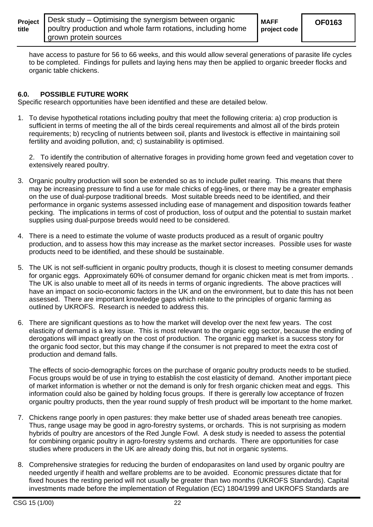| Project |  |
|---------|--|
| title   |  |

**project code** 

have access to pasture for 56 to 66 weeks, and this would allow several generations of parasite life cycles to be completed. Findings for pullets and laying hens may then be applied to organic breeder flocks and organic table chickens.

### **6.0. POSSIBLE FUTURE WORK**

Specific research opportunities have been identified and these are detailed below.

1. To devise hypothetical rotations including poultry that meet the following criteria: a) crop production is sufficient in terms of meeting the all of the birds cereal requirements and almost all of the birds protein requirements; b) recycling of nutrients between soil, plants and livestock is effective in maintaining soil fertility and avoiding pollution, and; c) sustainability is optimised.

2. To identify the contribution of alternative forages in providing home grown feed and vegetation cover to extensively reared poultry.

- 3. Organic poultry production will soon be extended so as to include pullet rearing. This means that there may be increasing pressure to find a use for male chicks of egg-lines, or there may be a greater emphasis on the use of dual-purpose traditional breeds. Most suitable breeds need to be identified, and their performance in organic systems assessed including ease of management and disposition towards feather pecking. The implications in terms of cost of production, loss of output and the potential to sustain market supplies using dual-purpose breeds would need to be considered.
- 4. There is a need to estimate the volume of waste products produced as a result of organic poultry production, and to assess how this may increase as the market sector increases. Possible uses for waste products need to be identified, and these should be sustainable.
- 5. The UK is not self-sufficient in organic poultry products, though it is closest to meeting consumer demands for organic eggs. Approximately 60% of consumer demand for organic chicken meat is met from imports. . The UK is also unable to meet all of its needs in terms of organic ingredients. The above practices will have an impact on socio-economic factors in the UK and on the environment, but to date this has not been assessed. There are important knowledge gaps which relate to the principles of organic farming as outlined by UKROFS. Research is needed to address this.
- 6. There are significant questions as to how the market will develop over the next few years. The cost elasticity of demand is a key issue. This is most relevant to the organic egg sector, because the ending of derogations will impact greatly on the cost of production. The organic egg market is a success story for the organic food sector, but this may change if the consumer is not prepared to meet the extra cost of production and demand falls.

The effects of socio-demographic forces on the purchase of organic poultry products needs to be studied. Focus groups would be of use in trying to establish the cost elasticity of demand. Another important piece of market information is whether or not the demand is only for fresh organic chicken meat and eggs. This information could also be gained by holding focus groups. If there is gererally low acceptance of frozen organic poultry products, then the year round supply of fresh product will be important to the home market.

- 7. Chickens range poorly in open pastures: they make better use of shaded areas beneath tree canopies. Thus, range usage may be good in agro-forestry systems, or orchards. This is not surprising as modern hybrids of poultry are ancestors of the Red Jungle Fowl. A desk study is needed to assess the potential for combining organic poultry in agro-forestry systems and orchards. There are opportunities for case studies where producers in the UK are already doing this, but not in organic systems.
- 8. Comprehensive strategies for reducing the burden of endoparasites on land used by organic poultry are needed urgently if health and welfare problems are to be avoided. Economic pressures dictate that for fixed houses the resting period will not usually be greater than two months (UKROFS Standards). Capital investments made before the implementation of Regulation (EC) 1804/1999 and UKROFS Standards are